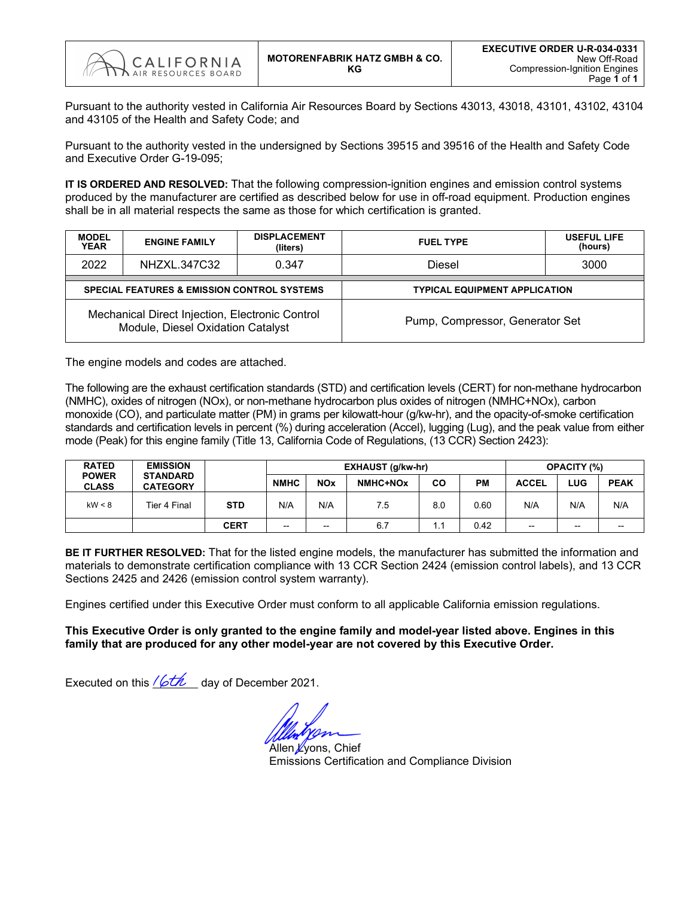

Pursuant to the authority vested in California Air Resources Board by Sections 43013, 43018, 43101, 43102, 43104 and 43105 of the Health and Safety Code; and

Pursuant to the authority vested in the undersigned by Sections 39515 and 39516 of the Health and Safety Code and Executive Order G-19-095;

**IT IS ORDERED AND RESOLVED:** That the following compression-ignition engines and emission control systems produced by the manufacturer are certified as described below for use in off-road equipment. Production engines shall be in all material respects the same as those for which certification is granted.

| <b>MODEL</b><br><b>YEAR</b> | <b>ENGINE FAMILY</b>                                                                 | <b>DISPLACEMENT</b><br>(liters) | <b>FUEL TYPE</b>                     | <b>USEFUL LIFE</b><br>(hours) |  |  |  |  |
|-----------------------------|--------------------------------------------------------------------------------------|---------------------------------|--------------------------------------|-------------------------------|--|--|--|--|
| 2022                        | NHZXL.347C32                                                                         | 0.347                           | Diesel                               | 3000                          |  |  |  |  |
|                             | SPECIAL FEATURES & EMISSION CONTROL SYSTEMS                                          |                                 | <b>TYPICAL EQUIPMENT APPLICATION</b> |                               |  |  |  |  |
|                             | Mechanical Direct Injection, Electronic Control<br>Module, Diesel Oxidation Catalyst |                                 | Pump, Compressor, Generator Set      |                               |  |  |  |  |

The engine models and codes are attached.

The following are the exhaust certification standards (STD) and certification levels (CERT) for non-methane hydrocarbon (NMHC), oxides of nitrogen (NOx), or non-methane hydrocarbon plus oxides of nitrogen (NMHC+NOx), carbon monoxide (CO), and particulate matter (PM) in grams per kilowatt-hour (g/kw-hr), and the opacity-of-smoke certification standards and certification levels in percent (%) during acceleration (Accel), lugging (Lug), and the peak value from either mode (Peak) for this engine family (Title 13, California Code of Regulations, (13 CCR) Section 2423):

| <b>RATED</b>                 | <b>EMISSION</b>                    |             |             | EXHAUST (g/kw-hr)        |          | <b>OPACITY (%)</b> |      |              |       |             |
|------------------------------|------------------------------------|-------------|-------------|--------------------------|----------|--------------------|------|--------------|-------|-------------|
| <b>POWER</b><br><b>CLASS</b> | <b>STANDARD</b><br><b>CATEGORY</b> |             | <b>NMHC</b> | <b>NOx</b>               | NMHC+NOx | CO                 | PМ   | <b>ACCEL</b> | LUG   | <b>PEAK</b> |
| kW < 8                       | <b>STD</b><br>Tier 4 Final         |             | N/A         | N/A                      | 7.5      | 8.0                | 0.60 | N/A          | N/A   | N/A         |
|                              |                                    | <b>CERT</b> | --          | $\overline{\phantom{a}}$ | 6.7      | 1.1                | 0.42 | --           | $- -$ | --          |

**BE IT FURTHER RESOLVED:** That for the listed engine models, the manufacturer has submitted the information and materials to demonstrate certification compliance with 13 CCR Section 2424 (emission control labels), and 13 CCR Sections 2425 and 2426 (emission control system warranty).

Engines certified under this Executive Order must conform to all applicable California emission regulations.

**This Executive Order is only granted to the engine family and model-year listed above. Engines in this family that are produced for any other model-year are not covered by this Executive Order.**

Executed on this  $\sqrt{6t\hbar}$  day of December 2021.

Allen *Lyons*, Chief Emissions Certification and Compliance Division